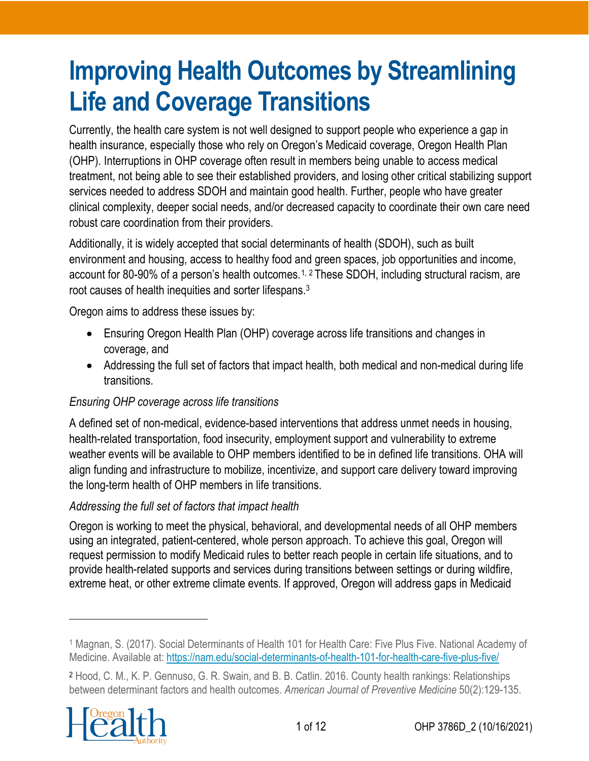# **Improving Health Outcomes by Streamlining Life and Coverage Transitions**

Currently, the health care system is not well designed to support people who experience a gap in health insurance, especially those who rely on Oregon's Medicaid coverage, Oregon Health Plan (OHP). Interruptions in OHP coverage often result in members being unable to access medical treatment, not being able to see their established providers, and losing other critical stabilizing support services needed to address SDOH and maintain good health. Further, people who have greater clinical complexity, deeper social needs, and/or decreased capacity to coordinate their own care need robust care coordination from their providers.

Additionally, it is widely accepted that social determinants of health (SDOH), such as built environment and housing, access to healthy food and green spaces, job opportunities and income, account for 80-90% of a person's health outcomes.<sup>[1](#page-0-0), [2](#page-0-1)</sup> These SDOH, including structural racism, are root causes of health inequities and sorter lifespans.3

Oregon aims to address these issues by:

- Ensuring Oregon Health Plan (OHP) coverage across life transitions and changes in coverage, and
- Addressing the full set of factors that impact health, both medical and non-medical during life transitions.

#### *Ensuring OHP coverage across life transitions*

A defined set of non-medical, evidence-based interventions that address unmet needs in housing, health-related transportation, food insecurity, employment support and vulnerability to extreme weather events will be available to OHP members identified to be in defined life transitions. OHA will align funding and infrastructure to mobilize, incentivize, and support care delivery toward improving the long-term health of OHP members in life transitions.

#### *Addressing the full set of factors that impact health*

Oregon is working to meet the physical, behavioral, and developmental needs of all OHP members using an integrated, patient-centered, whole person approach. To achieve this goal, Oregon will request permission to modify Medicaid rules to better reach people in certain life situations, and to provide health-related supports and services during transitions between settings or during wildfire, extreme heat, or other extreme climate events. If approved, Oregon will address gaps in Medicaid

<span id="page-0-1"></span><span id="page-0-0"></span><sup>2</sup> Hood, C. M., K. P. Gennuso, G. R. Swain, and B. B. Catlin. 2016. County health rankings: Relationships between determinant factors and health outcomes. *American Journal of Preventive Medicine* 50(2):129-135.



<sup>1</sup> Magnan, S. (2017). Social Determinants of Health 101 for Health Care: Five Plus Five. National Academy of Medicine. Available at:<https://nam.edu/social-determinants-of-health-101-for-health-care-five-plus-five/>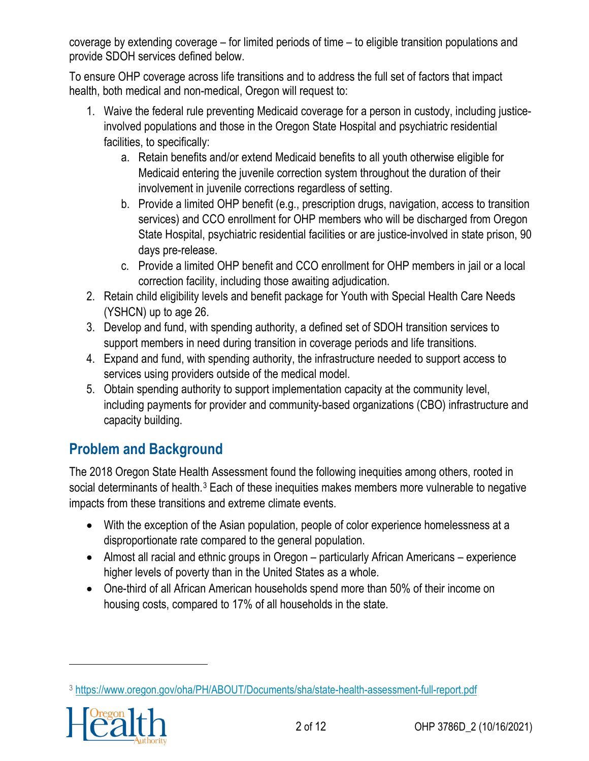coverage by extending coverage – for limited periods of time – to eligible transition populations and provide SDOH services defined below.

To ensure OHP coverage across life transitions and to address the full set of factors that impact health, both medical and non-medical, Oregon will request to:

- 1. Waive the federal rule preventing Medicaid coverage for a person in custody, including justiceinvolved populations and those in the Oregon State Hospital and psychiatric residential facilities, to specifically:
	- a. Retain benefits and/or extend Medicaid benefits to all youth otherwise eligible for Medicaid entering the juvenile correction system throughout the duration of their involvement in juvenile corrections regardless of setting.
	- b. Provide a limited OHP benefit (e.g., prescription drugs, navigation, access to transition services) and CCO enrollment for OHP members who will be discharged from Oregon State Hospital, psychiatric residential facilities or are justice-involved in state prison, 90 days pre-release.
	- c. Provide a limited OHP benefit and CCO enrollment for OHP members in jail or a local correction facility, including those awaiting adjudication.
- 2. Retain child eligibility levels and benefit package for Youth with Special Health Care Needs (YSHCN) up to age 26.
- 3. Develop and fund, with spending authority, a defined set of SDOH transition services to support members in need during transition in coverage periods and life transitions.
- 4. Expand and fund, with spending authority, the infrastructure needed to support access to services using providers outside of the medical model.
- 5. Obtain spending authority to support implementation capacity at the community level, including payments for provider and community-based organizations (CBO) infrastructure and capacity building.

# **Problem and Background**

The 2018 Oregon State Health Assessment found the following inequities among others, rooted in social determinants of health.<sup>[3](#page-1-0)</sup> Each of these inequities makes members more vulnerable to negative impacts from these transitions and extreme climate events.

- With the exception of the Asian population, people of color experience homelessness at a disproportionate rate compared to the general population.
- Almost all racial and ethnic groups in Oregon particularly African Americans experience higher levels of poverty than in the United States as a whole.
- One-third of all African American households spend more than 50% of their income on housing costs, compared to 17% of all households in the state.

<span id="page-1-0"></span><sup>3</sup> <https://www.oregon.gov/oha/PH/ABOUT/Documents/sha/state-health-assessment-full-report.pdf>

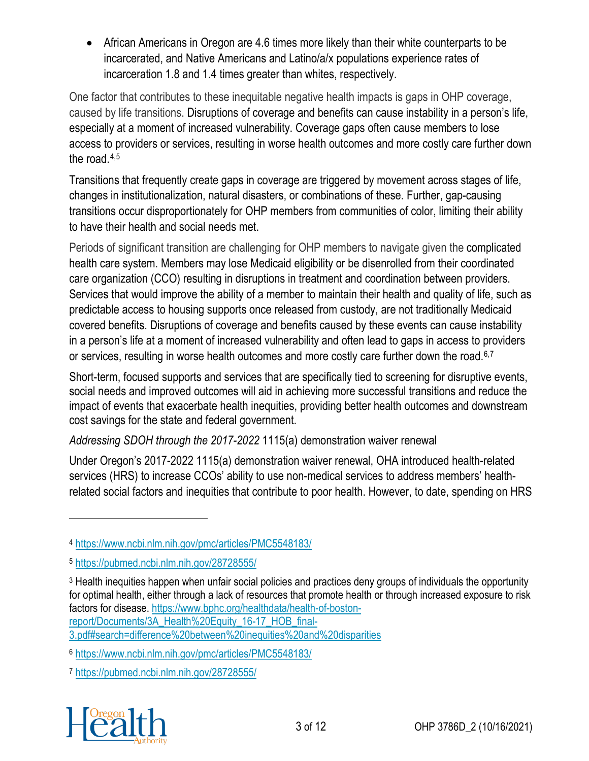• African Americans in Oregon are 4.6 times more likely than their white counterparts to be incarcerated, and Native Americans and Latino/a/x populations experience rates of incarceration 1.8 and 1.4 times greater than whites, respectively.

One factor that contributes to these inequitable negative health impacts is gaps in OHP coverage, caused by life transitions. Disruptions of coverage and benefits can cause instability in a person's life, especially at a moment of increased vulnerability. Coverage gaps often cause members to lose access to providers or services, resulting in worse health outcomes and more costly care further down the road.[4](#page-2-0),[5](#page-2-1)

Transitions that frequently create gaps in coverage are triggered by movement across stages of life, changes in institutionalization, natural disasters, or combinations of these. Further, gap-causing transitions occur disproportionately for OHP members from communities of color, limiting their ability to have their health and social needs met.

Periods of significant transition are challenging for OHP members to navigate given the complicated health care system. Members may lose Medicaid eligibility or be disenrolled from their coordinated care organization (CCO) resulting in disruptions in treatment and coordination between providers. Services that would improve the ability of a member to maintain their health and quality of life, such as predictable access to housing supports once released from custody, are not traditionally Medicaid covered benefits. Disruptions of coverage and benefits caused by these events can cause instability in a person's life at a moment of increased vulnerability and often lead to gaps in access to providers or services, resulting in worse health outcomes and more costly care further down the road.<sup>[6](#page-2-2),[7](#page-2-3)</sup>

Short-term, focused supports and services that are specifically tied to screening for disruptive events, social needs and improved outcomes will aid in achieving more successful transitions and reduce the impact of events that exacerbate health inequities, providing better health outcomes and downstream cost savings for the state and federal government.

*Addressing SDOH through the 2017-2022* 1115(a) demonstration waiver renewal

Under Oregon's 2017-2022 1115(a) demonstration waiver renewal, OHA introduced [health-related](https://www.oregon.gov/oha/HPA/dsi-tc/Documents/OHA-Health-Related-Services-Brief.pdf)  [services \(HRS\)](https://www.oregon.gov/oha/HPA/dsi-tc/Documents/OHA-Health-Related-Services-Brief.pdf) to increase CCOs' ability to use non-medical services to address members' healthrelated social factors and inequities that contribute to poor health. However, to date, spending on HRS

<span id="page-2-3"></span><span id="page-2-2"></span><sup>7</sup> <https://pubmed.ncbi.nlm.nih.gov/28728555/>



<span id="page-2-0"></span><sup>4</sup> <https://www.ncbi.nlm.nih.gov/pmc/articles/PMC5548183/>

<span id="page-2-1"></span><sup>5</sup> <https://pubmed.ncbi.nlm.nih.gov/28728555/>

<sup>3</sup> Health inequities happen when unfair social policies and practices deny groups of individuals the opportunity for optimal health, either through a lack of resources that promote health or through increased exposure to risk factors for disease. [https://www.bphc.org/healthdata/health-of-boston](https://www.bphc.org/healthdata/health-of-boston-report/Documents/3A_Health%20Equity_16-17_HOB_final-3.pdf%23search=difference%20between%20inequities%20and%20disparities)[report/Documents/3A\\_Health%20Equity\\_16-17\\_HOB\\_final-](https://www.bphc.org/healthdata/health-of-boston-report/Documents/3A_Health%20Equity_16-17_HOB_final-3.pdf%23search=difference%20between%20inequities%20and%20disparities)[3.pdf#search=difference%20between%20inequities%20and%20disparities](https://www.bphc.org/healthdata/health-of-boston-report/Documents/3A_Health%20Equity_16-17_HOB_final-3.pdf%23search=difference%20between%20inequities%20and%20disparities)

<sup>6</sup> <https://www.ncbi.nlm.nih.gov/pmc/articles/PMC5548183/>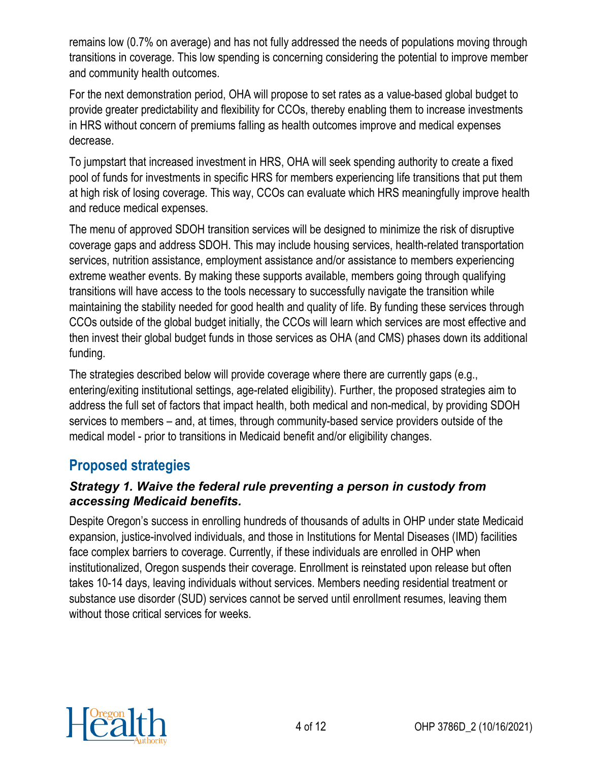remains low (0.7% on average) and has not fully addressed the needs of populations moving through transitions in coverage. This low spending is concerning considering the potential to improve member and community health outcomes.

For the next demonstration period, OHA will propose to set rates as a value-based global budget to provide greater predictability and flexibility for CCOs, thereby enabling them to increase investments in HRS without concern of premiums falling as health outcomes improve and medical expenses decrease.

To jumpstart that increased investment in HRS, OHA will seek spending authority to create a fixed pool of funds for investments in specific HRS for members experiencing life transitions that put them at high risk of losing coverage. This way, CCOs can evaluate which HRS meaningfully improve health and reduce medical expenses.

The menu of approved SDOH transition services will be designed to minimize the risk of disruptive coverage gaps and address SDOH. This may include housing services, health-related transportation services, nutrition assistance, employment assistance and/or assistance to members experiencing extreme weather events. By making these supports available, members going through qualifying transitions will have access to the tools necessary to successfully navigate the transition while maintaining the stability needed for good health and quality of life. By funding these services through CCOs outside of the global budget initially, the CCOs will learn which services are most effective and then invest their global budget funds in those services as OHA (and CMS) phases down its additional funding.

The strategies described below will provide coverage where there are currently gaps (e.g., entering/exiting institutional settings, age-related eligibility). Further, the proposed strategies aim to address the full set of factors that impact health, both medical and non-medical, by providing SDOH services to members – and, at times, through community-based service providers outside of the medical model - prior to transitions in Medicaid benefit and/or eligibility changes.

## **Proposed strategies**

#### *Strategy 1. Waive the federal rule preventing a person in custody from accessing Medicaid benefits.*

Despite Oregon's success in enrolling hundreds of thousands of adults in OHP under state Medicaid expansion, justice-involved individuals, and those in Institutions for Mental Diseases (IMD) facilities face complex barriers to coverage. Currently, if these individuals are enrolled in OHP when institutionalized, Oregon suspends their coverage. Enrollment is reinstated upon release but often takes 10-14 days, leaving individuals without services. Members needing residential treatment or substance use disorder (SUD) services cannot be served until enrollment resumes, leaving them without those critical services for weeks.

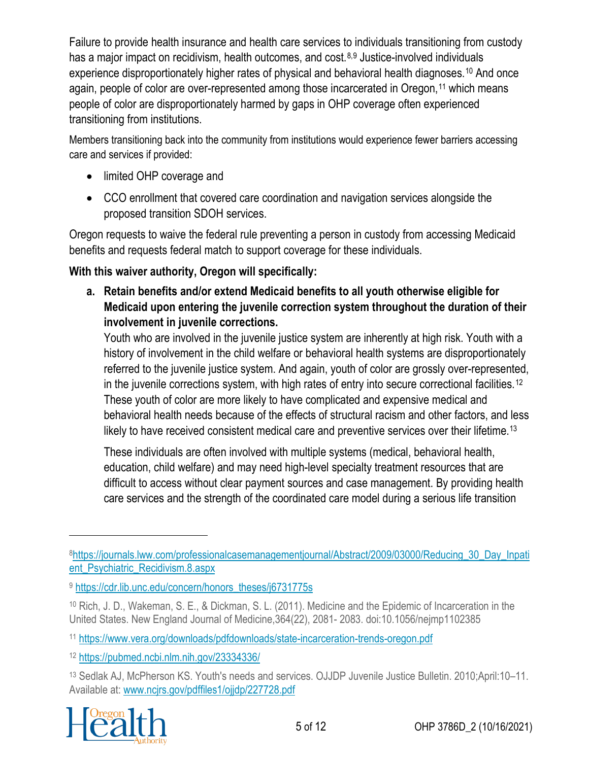Failure to provide health insurance and health care services to individuals transitioning from custody has a major impact on recidivism, health outcomes, and cost.<sup>[8,](#page-4-0)[9](#page-4-1)</sup> Justice-involved individuals experience disproportionately higher rates of physical and behavioral health diagnoses.<sup>[10](#page-4-2)</sup> And once again, people of color are over-represented among those incarcerated in Oregon,<sup>[11](#page-4-3)</sup> which means people of color are disproportionately harmed by gaps in OHP coverage often experienced transitioning from institutions.

Members transitioning back into the community from institutions would experience fewer barriers accessing care and services if provided:

- limited OHP coverage and
- CCO enrollment that covered care coordination and navigation services alongside the proposed transition SDOH services.

Oregon requests to waive the federal rule preventing a person in custody from accessing Medicaid benefits and requests federal match to support coverage for these individuals.

## **With this waiver authority, Oregon will specifically:**

**a. Retain benefits and/or extend Medicaid benefits to all youth otherwise eligible for Medicaid upon entering the juvenile correction system throughout the duration of their involvement in juvenile corrections.**

Youth who are involved in the juvenile justice system are inherently at high risk. Youth with a history of involvement in the child welfare or behavioral health systems are disproportionately referred to the juvenile justice system. And again, youth of color are grossly over-represented, in the juvenile corrections system, with high rates of entry into secure correctional facilities.<sup>[12](#page-4-4)</sup> These youth of color are more likely to have complicated and expensive medical and behavioral health needs because of the effects of structural racism and other factors, and less likely to have received consistent medical care and preventive services over their lifetime.<sup>[13](#page-4-5)</sup>

These individuals are often involved with multiple systems (medical, behavioral health, education, child welfare) and may need high-level specialty treatment resources that are difficult to access without clear payment sources and case management. By providing health care services and the strength of the coordinated care model during a serious life transition

<span id="page-4-5"></span><span id="page-4-4"></span><sup>13</sup> Sedlak AJ, McPherson KS. Youth's needs and services. OJJDP Juvenile Justice Bulletin. 2010;April:10–11. Available at: www.ncjrs.gov/pdffiles1/ojjdp/227728.pdf



<span id="page-4-0"></span>[<sup>8</sup>https://journals.lww.com/professionalcasemanagementjournal/Abstract/2009/03000/Reducing\\_30\\_Day\\_Inpati](https://journals.lww.com/professionalcasemanagementjournal/Abstract/2009/03000/Reducing_30_Day_Inpatient_Psychiatric_Recidivism.8.aspx) [ent\\_Psychiatric\\_Recidivism.8.aspx](https://journals.lww.com/professionalcasemanagementjournal/Abstract/2009/03000/Reducing_30_Day_Inpatient_Psychiatric_Recidivism.8.aspx)

<span id="page-4-1"></span><sup>9</sup> [https://cdr.lib.unc.edu/concern/honors\\_theses/j6731775s](https://cdr.lib.unc.edu/concern/honors_theses/j6731775s)

<span id="page-4-2"></span><sup>10</sup> Rich, J. D., Wakeman, S. E., & Dickman, S. L. (2011). Medicine and the Epidemic of Incarceration in the United States. New England Journal of Medicine,364(22), 2081- 2083. doi:10.1056/nejmp1102385

<span id="page-4-3"></span><sup>11</sup> <https://www.vera.org/downloads/pdfdownloads/state-incarceration-trends-oregon.pdf>

<sup>12</sup> <https://pubmed.ncbi.nlm.nih.gov/23334336/>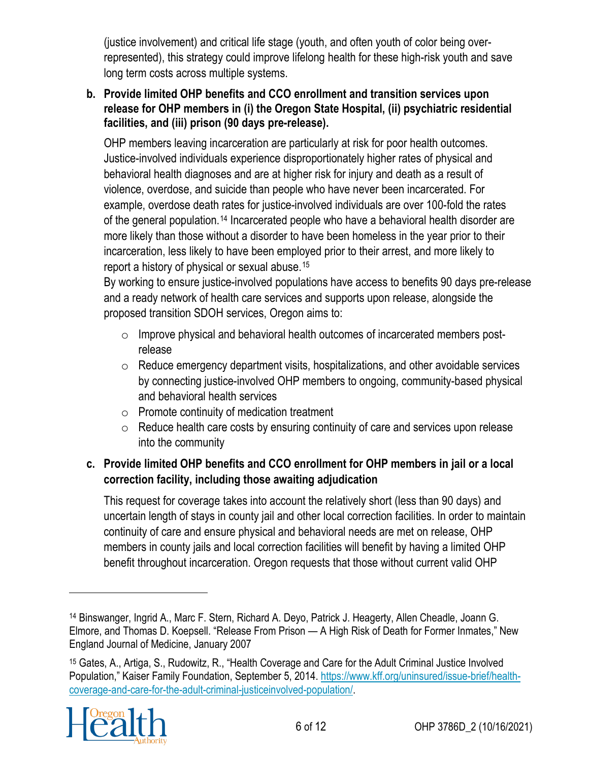(justice involvement) and critical life stage (youth, and often youth of color being overrepresented), this strategy could improve lifelong health for these high-risk youth and save long term costs across multiple systems.

#### **b. Provide limited OHP benefits and CCO enrollment and transition services upon release for OHP members in (i) the Oregon State Hospital, (ii) psychiatric residential facilities, and (iii) prison (90 days pre-release).**

OHP members leaving incarceration are particularly at risk for poor health outcomes. Justice-involved individuals experience disproportionately higher rates of physical and behavioral health diagnoses and are at higher risk for injury and death as a result of violence, overdose, and suicide than people who have never been incarcerated. For example, overdose death rates for justice-involved individuals are over 100-fold the rates of the general population.[14](#page-5-0) Incarcerated people who have a behavioral health disorder are more likely than those without a disorder to have been homeless in the year prior to their incarceration, less likely to have been employed prior to their arrest, and more likely to report a history of physical or sexual abuse.[15](#page-5-1)

By working to ensure justice-involved populations have access to benefits 90 days pre-release and a ready network of health care services and supports upon release, alongside the proposed transition SDOH services, Oregon aims to:

- o Improve physical and behavioral health outcomes of incarcerated members postrelease
- $\circ$  Reduce emergency department visits, hospitalizations, and other avoidable services by connecting justice-involved OHP members to ongoing, community-based physical and behavioral health services
- o Promote continuity of medication treatment
- $\circ$  Reduce health care costs by ensuring continuity of care and services upon release into the community

### **c. Provide limited OHP benefits and CCO enrollment for OHP members in jail or a local correction facility, including those awaiting adjudication**

This request for coverage takes into account the relatively short (less than 90 days) and uncertain length of stays in county jail and other local correction facilities. In order to maintain continuity of care and ensure physical and behavioral needs are met on release, OHP members in county jails and local correction facilities will benefit by having a limited OHP benefit throughout incarceration. Oregon requests that those without current valid OHP

<span id="page-5-1"></span><sup>15</sup> Gates, A., Artiga, S., Rudowitz, R., "Health Coverage and Care for the Adult Criminal Justice Involved Population," Kaiser Family Foundation, September 5, 2014. [https://www.kff.org/uninsured/issue-brief/health](https://www.kff.org/uninsured/issue-brief/health-coverage-and-care-for-the-adult-criminal-justiceinvolved-population/)[coverage-and-care-for-the-adult-criminal-justiceinvolved-population/.](https://www.kff.org/uninsured/issue-brief/health-coverage-and-care-for-the-adult-criminal-justiceinvolved-population/)



<span id="page-5-0"></span><sup>14</sup> Binswanger, Ingrid A., Marc F. Stern, Richard A. Deyo, Patrick J. Heagerty, Allen Cheadle, Joann G. Elmore, and Thomas D. Koepsell. "Release From Prison — A High Risk of Death for Former Inmates," New England Journal of Medicine, January 2007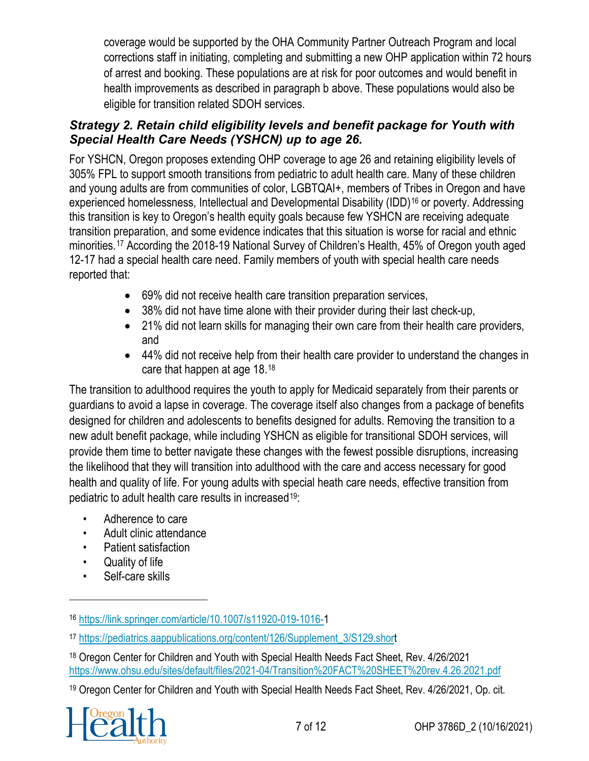coverage would be supported by the OHA Community Partner Outreach Program and local corrections staff in initiating, completing and submitting a new OHP application within 72 hours of arrest and booking. These populations are at risk for poor outcomes and would benefit in health improvements as described in paragraph b above. These populations would also be eligible for transition related SDOH services.

#### *Strategy 2. Retain child eligibility levels and benefit package for Youth with Special Health Care Needs (YSHCN) up to age 26.*

For YSHCN, Oregon proposes extending OHP coverage to age 26 and retaining eligibility levels of 305% FPL to support smooth transitions from pediatric to adult health care. Many of these children and young adults are from communities of color, LGBTQAI+, members of Tribes in Oregon and have experienced homelessness, Intellectual and Developmental Disability (IDD)<sup>[16](#page-6-0)</sup> or poverty. Addressing this transition is key to Oregon's health equity goals because few YSHCN are receiving adequate transition preparation, and some evidence indicates that this situation is worse for racial and ethnic minorities.[17](#page-6-1) According the 2018-19 National Survey of Children's Health, 45% of Oregon youth aged 12-17 had a special health care need. Family members of youth with special health care needs reported that:

- 69% did not receive health care transition preparation services,
- 38% did not have time alone with their provider during their last check-up,
- 21% did not learn skills for managing their own care from their health care providers, and
- 44% did not receive help from their health care provider to understand the changes in care that happen at age 18.[18](#page-6-2)

The transition to adulthood requires the youth to apply for Medicaid separately from their parents or guardians to avoid a lapse in coverage. The coverage itself also changes from a package of benefits designed for children and adolescents to benefits designed for adults. Removing the transition to a new adult benefit package, while including YSHCN as eligible for transitional SDOH services, will provide them time to better navigate these changes with the fewest possible disruptions, increasing the likelihood that they will transition into adulthood with the care and access necessary for good health and quality of life. For young adults with special heath care needs, effective transition from pediatric to adult health care results in increased<sup>[19](#page-6-3):</sup>

- Adherence to care
- Adult clinic attendance
- Patient satisfaction
- Quality of life
- Self-care skills

<span id="page-6-3"></span><span id="page-6-2"></span><sup>19</sup> Oregon Center for Children and Youth with Special Health Needs Fact Sheet, Rev. 4/26/2021, Op. cit.



<span id="page-6-0"></span><sup>16</sup> <https://link.springer.com/article/10.1007/s11920-019-1016-1>

<span id="page-6-1"></span><sup>17</sup> [https://pediatrics.aappublications.org/content/126/Supplement\\_3/S129.short](https://pediatrics.aappublications.org/content/126/Supplement_3/S129.short)

<sup>18</sup> Oregon Center for Children and Youth with Special Health Needs Fact Sheet, Rev. 4/26/2021 <https://www.ohsu.edu/sites/default/files/2021-04/Transition%20FACT%20SHEET%20rev.4.26.2021.pdf>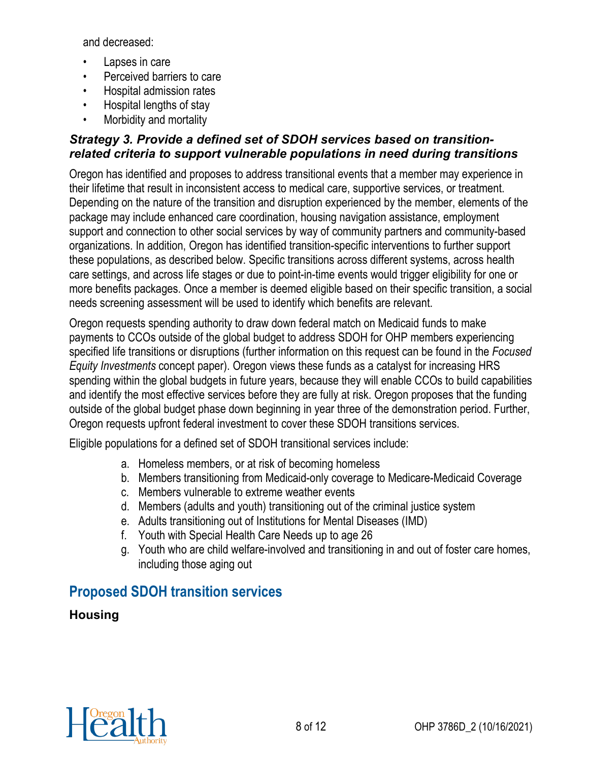and decreased:

- Lapses in care
- Perceived barriers to care
- Hospital admission rates
- Hospital lengths of stay
- Morbidity and mortality

#### *Strategy 3. Provide a defined set of SDOH services based on transitionrelated criteria to support vulnerable populations in need during transitions*

Oregon has identified and proposes to address transitional events that a member may experience in their lifetime that result in inconsistent access to medical care, supportive services, or treatment. Depending on the nature of the transition and disruption experienced by the member, elements of the package may include enhanced care coordination, housing navigation assistance, employment support and connection to other social services by way of community partners and community-based organizations. In addition, Oregon has identified transition-specific interventions to further support these populations, as described below. Specific transitions across different systems, across health care settings, and across life stages or due to point-in-time events would trigger eligibility for one or more benefits packages. Once a member is deemed eligible based on their specific transition, a social needs screening assessment will be used to identify which benefits are relevant.

Oregon requests spending authority to draw down federal match on Medicaid funds to make payments to CCOs outside of the global budget to address SDOH for OHP members experiencing specified life transitions or disruptions (further information on this request can be found in the *Focused Equity Investments* concept paper). Oregon views these funds as a catalyst for increasing HRS spending within the global budgets in future years, because they will enable CCOs to build capabilities and identify the most effective services before they are fully at risk. Oregon proposes that the funding outside of the global budget phase down beginning in year three of the demonstration period. Further, Oregon requests upfront federal investment to cover these SDOH transitions services.

Eligible populations for a defined set of SDOH transitional services include:

- a. Homeless members, or at risk of becoming homeless
- b. Members transitioning from Medicaid-only coverage to Medicare-Medicaid Coverage
- c. Members vulnerable to extreme weather events
- d. Members (adults and youth) transitioning out of the criminal justice system
- e. Adults transitioning out of Institutions for Mental Diseases (IMD)
- f. Youth with Special Health Care Needs up to age 26
- g. Youth who are child welfare-involved and transitioning in and out of foster care homes, including those aging out

## **Proposed SDOH transition services**

## **Housing**

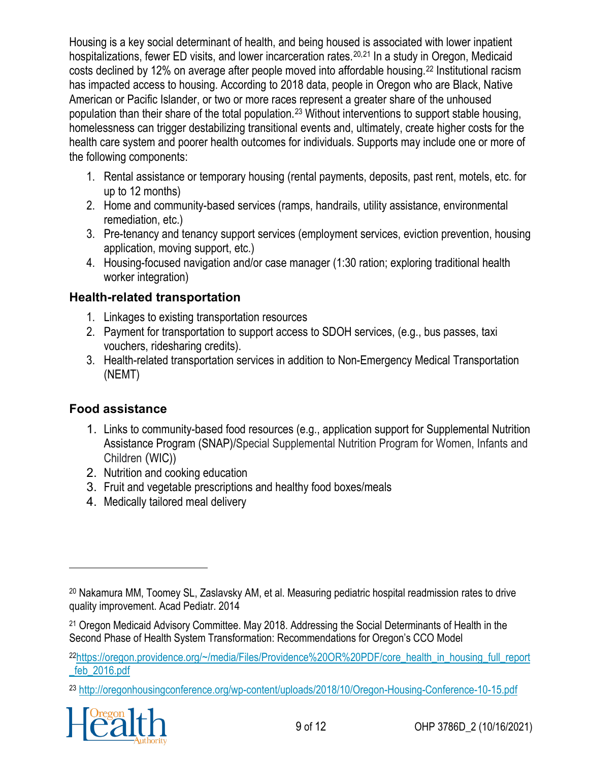Housing is a key social determinant of health, and being housed is associated with lower inpatient hospitalizations, fewer ED visits, and lower incarceration rates.<sup>[20](#page-8-0),[21](#page-8-1)</sup> In a study in Oregon, Medicaid costs declined by 12% on average after people moved into affordable housing.[22](#page-8-2) Institutional racism has impacted access to housing. According to 2018 data, people in Oregon who are Black, Native American or Pacific Islander, or two or more races represent a greater share of the unhoused population than their share of the total population.[23](#page-8-3) Without interventions to support stable housing, homelessness can trigger destabilizing transitional events and, ultimately, create higher costs for the health care system and poorer health outcomes for individuals. Supports may include one or more of the following components:

- 1. Rental assistance or temporary housing (rental payments, deposits, past rent, motels, etc. for up to 12 months)
- 2. Home and community-based services (ramps, handrails, utility assistance, environmental remediation, etc.)
- 3. Pre-tenancy and tenancy support services (employment services, eviction prevention, housing application, moving support, etc.)
- 4. Housing-focused navigation and/or case manager (1:30 ration; exploring traditional health worker integration)

## **Health-related transportation**

- 1. Linkages to existing transportation resources
- 2. Payment for transportation to support access to SDOH services, (e.g., bus passes, taxi vouchers, ridesharing credits).
- 3. Health-related transportation services in addition to Non-Emergency Medical Transportation (NEMT)

## **Food assistance**

- 1. Links to community-based food resources (e.g., application support for Supplemental Nutrition Assistance Program (SNAP)/Special Supplemental Nutrition Program for Women, Infants and Children (WIC))
- 2. Nutrition and cooking education
- 3. Fruit and vegetable prescriptions and healthy food boxes/meals
- 4. Medically tailored meal delivery

<span id="page-8-3"></span><span id="page-8-2"></span><sup>23</sup> <http://oregonhousingconference.org/wp-content/uploads/2018/10/Oregon-Housing-Conference-10-15.pdf>



<span id="page-8-0"></span><sup>20</sup> Nakamura MM, Toomey SL, Zaslavsky AM, et al. Measuring pediatric hospital readmission rates to drive quality improvement. Acad Pediatr. 2014

<span id="page-8-1"></span><sup>21</sup> Oregon Medicaid Advisory Committee. May 2018. Addressing the Social Determinants of Health in the Second Phase of Health System Transformation: Recommendations for Oregon's CCO Model

<sup>2</sup>[2https://oregon.providence.org/~/media/Files/Providence%20OR%20PDF/core\\_health\\_in\\_housing\\_full\\_report](https://oregon.providence.org/%7E/media/Files/Providence%20OR%20PDF/core_health_in_housing_full_report_feb_2016.pdf) [\\_feb\\_2016.pdf](https://oregon.providence.org/%7E/media/Files/Providence%20OR%20PDF/core_health_in_housing_full_report_feb_2016.pdf)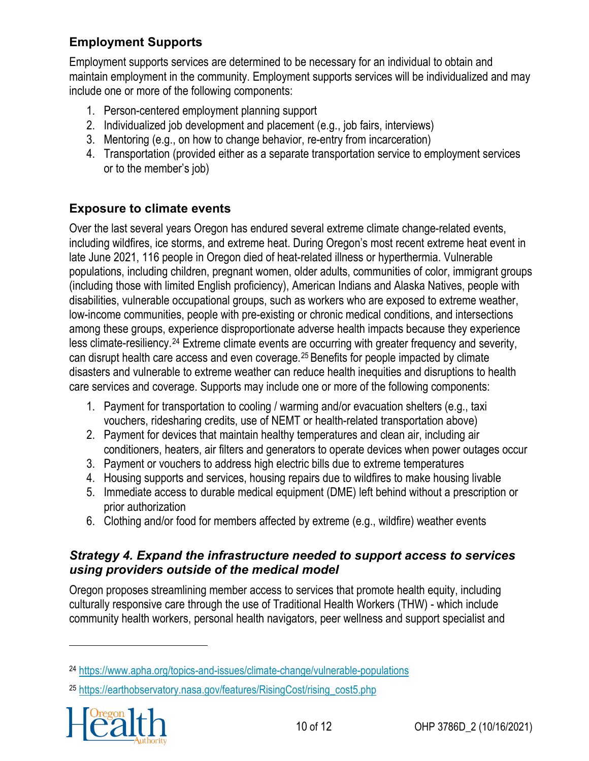## **Employment Supports**

Employment supports services are determined to be necessary for an individual to obtain and maintain employment in the community. Employment supports services will be individualized and may include one or more of the following components:

- 1. Person-centered employment planning support
- 2. Individualized job development and placement (e.g., job fairs, interviews)
- 3. Mentoring (e.g., on how to change behavior, re-entry from incarceration)
- 4. Transportation (provided either as a separate transportation service to employment services or to the member's job)

## **Exposure to climate events**

Over the last several years Oregon has endured several extreme climate change-related events, including wildfires, ice storms, and extreme heat. During Oregon's most recent extreme heat event in late June 2021, 116 people in Oregon died of heat-related illness or hyperthermia. Vulnerable populations, including children, pregnant women, older adults, communities of color, immigrant groups (including those with limited English proficiency), American Indians and Alaska Natives, people with disabilities, vulnerable occupational groups, such as workers who are exposed to extreme weather, low-income communities, people with pre-existing or chronic medical conditions, and intersections among these groups, experience disproportionate adverse health impacts because they experience less climate-resiliency.[24](#page-9-0) Extreme climate events are occurring with greater frequency and severity, can disrupt health care access and even coverage.[25](#page-9-1) Benefits for people impacted by climate disasters and vulnerable to extreme weather can reduce health inequities and disruptions to health care services and coverage. Supports may include one or more of the following components:

- 1. Payment for transportation to cooling / warming and/or evacuation shelters (e.g., taxi vouchers, ridesharing credits, use of NEMT or health-related transportation above)
- 2. Payment for devices that maintain healthy temperatures and clean air, including air conditioners, heaters, air filters and generators to operate devices when power outages occur
- 3. Payment or vouchers to address high electric bills due to extreme temperatures
- 4. Housing supports and services, housing repairs due to wildfires to make housing livable
- 5. Immediate access to durable medical equipment (DME) left behind without a prescription or prior authorization
- 6. Clothing and/or food for members affected by extreme (e.g., wildfire) weather events

#### *Strategy 4. Expand the infrastructure needed to support access to services using providers outside of the medical model*

Oregon proposes streamlining member access to services that promote health equity, including culturally responsive care through the use of Traditional Health Workers (THW) - which include community health workers, personal health navigators, peer wellness and support specialist and

<span id="page-9-1"></span><span id="page-9-0"></span><sup>25</sup> [https://earthobservatory.nasa.gov/features/RisingCost/rising\\_cost5.php](https://earthobservatory.nasa.gov/features/RisingCost/rising_cost5.php)



<sup>24</sup> https://www.apha.org/topics-and-issues/climate-change/vulnerable[-populations](https://www.apha.org/topics-and-issues/climate-change/vulnerable-populations)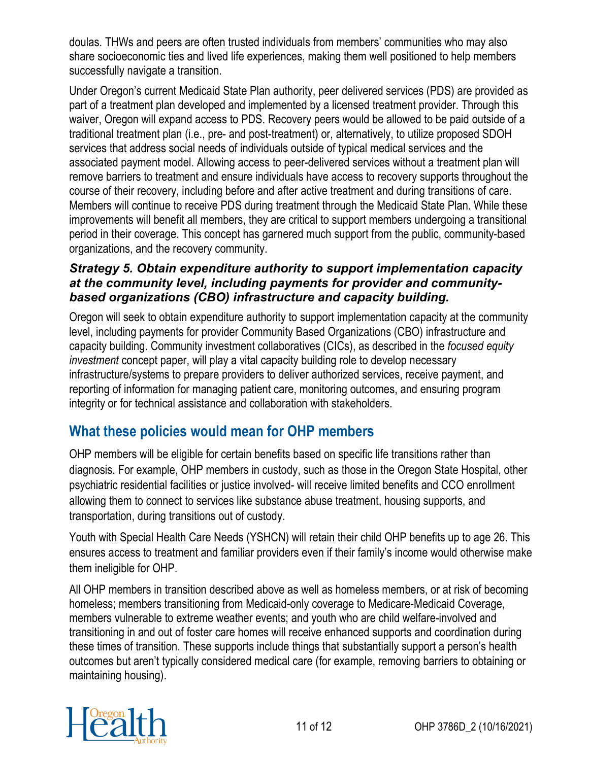doulas. THWs and peers are often trusted individuals from members' communities who may also share socioeconomic ties and lived life experiences, making them well positioned to help members successfully navigate a transition.

Under Oregon's current Medicaid State Plan authority, peer delivered services (PDS) are provided as part of a treatment plan developed and implemented by a licensed treatment provider. Through this waiver, Oregon will expand access to PDS. Recovery peers would be allowed to be paid outside of a traditional treatment plan (i.e., pre- and post-treatment) or, alternatively, to utilize proposed SDOH services that address social needs of individuals outside of typical medical services and the associated payment model. Allowing access to peer-delivered services without a treatment plan will remove barriers to treatment and ensure individuals have access to recovery supports throughout the course of their recovery, including before and after active treatment and during transitions of care. Members will continue to receive PDS during treatment through the Medicaid State Plan. While these improvements will benefit all members, they are critical to support members undergoing a transitional period in their coverage. This concept has garnered much support from the public, community-based organizations, and the recovery community.

#### *Strategy 5. Obtain expenditure authority to support implementation capacity at the community level, including payments for provider and communitybased organizations (CBO) infrastructure and capacity building.*

Oregon will seek to obtain expenditure authority to support implementation capacity at the community level, including payments for provider Community Based Organizations (CBO) infrastructure and capacity building. Community investment collaboratives (CICs), as described in the *focused equity investment* concept paper, will play a vital capacity building role to develop necessary infrastructure/systems to prepare providers to deliver authorized services, receive payment, and reporting of information for managing patient care, monitoring outcomes, and ensuring program integrity or for technical assistance and collaboration with stakeholders.

## **What these policies would mean for OHP members**

OHP members will be eligible for certain benefits based on specific life transitions rather than diagnosis. For example, OHP members in custody, such as those in the Oregon State Hospital, other psychiatric residential facilities or justice involved- will receive limited benefits and CCO enrollment allowing them to connect to services like substance abuse treatment, housing supports, and transportation, during transitions out of custody.

Youth with Special Health Care Needs (YSHCN) will retain their child OHP benefits up to age 26. This ensures access to treatment and familiar providers even if their family's income would otherwise make them ineligible for OHP.

All OHP members in transition described above as well as homeless members, or at risk of becoming homeless; members transitioning from Medicaid-only coverage to Medicare-Medicaid Coverage, members vulnerable to extreme weather events; and youth who are child welfare-involved and transitioning in and out of foster care homes will receive enhanced supports and coordination during these times of transition. These supports include things that substantially support a person's health outcomes but aren't typically considered medical care (for example, removing barriers to obtaining or maintaining housing).